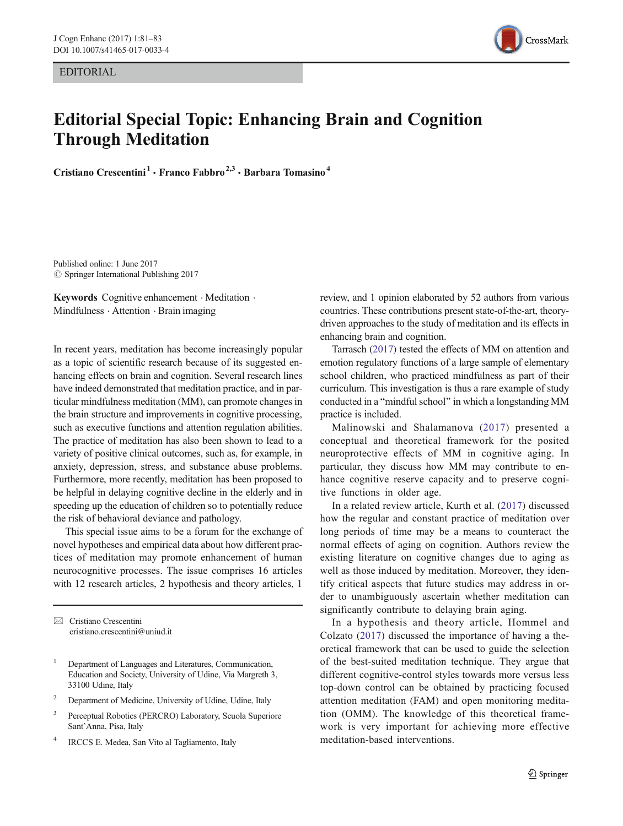EDITORIAL



## Editorial Special Topic: Enhancing Brain and Cognition Through Meditation

Cristiano Crescentini<sup>1</sup> · Franco Fabbro<sup>2,3</sup> · Barbara Tomasino<sup>4</sup>

Published online: 1 June 2017  $\oslash$  Springer International Publishing 2017

Keywords Cognitive enhancement · Meditation · Mindfulness . Attention . Brain imaging

In recent years, meditation has become increasingly popular as a topic of scientific research because of its suggested enhancing effects on brain and cognition. Several research lines have indeed demonstrated that meditation practice, and in particular mindfulness meditation (MM), can promote changes in the brain structure and improvements in cognitive processing, such as executive functions and attention regulation abilities. The practice of meditation has also been shown to lead to a variety of positive clinical outcomes, such as, for example, in anxiety, depression, stress, and substance abuse problems. Furthermore, more recently, meditation has been proposed to be helpful in delaying cognitive decline in the elderly and in speeding up the education of children so to potentially reduce the risk of behavioral deviance and pathology.

This special issue aims to be a forum for the exchange of novel hypotheses and empirical data about how different practices of meditation may promote enhancement of human neurocognitive processes. The issue comprises 16 articles with 12 research articles, 2 hypothesis and theory articles, 1

 $\boxtimes$  Cristiano Crescentini [cristiano.crescentini@uniud.it](mailto:cristiano.crescentini@uniud.it)

- <sup>1</sup> Department of Languages and Literatures, Communication, Education and Society, University of Udine, Via Margreth 3, 33100 Udine, Italy
- <sup>2</sup> Department of Medicine, University of Udine, Udine, Italy
- <sup>3</sup> Perceptual Robotics (PERCRO) Laboratory, Scuola Superiore Sant'Anna, Pisa, Italy
- <sup>4</sup> IRCCS E. Medea, San Vito al Tagliamento, Italy

review, and 1 opinion elaborated by 52 authors from various countries. These contributions present state-of-the-art, theorydriven approaches to the study of meditation and its effects in enhancing brain and cognition.

Tarrasch [\(2017](#page-2-0)) tested the effects of MM on attention and emotion regulatory functions of a large sample of elementary school children, who practiced mindfulness as part of their curriculum. This investigation is thus a rare example of study conducted in a "mindful school" in which a longstanding MM practice is included.

Malinowski and Shalamanova ([2017\)](#page-2-0) presented a conceptual and theoretical framework for the posited neuroprotective effects of MM in cognitive aging. In particular, they discuss how MM may contribute to enhance cognitive reserve capacity and to preserve cognitive functions in older age.

In a related review article, Kurth et al. ([2017](#page-2-0)) discussed how the regular and constant practice of meditation over long periods of time may be a means to counteract the normal effects of aging on cognition. Authors review the existing literature on cognitive changes due to aging as well as those induced by meditation. Moreover, they identify critical aspects that future studies may address in order to unambiguously ascertain whether meditation can significantly contribute to delaying brain aging.

In a hypothesis and theory article, Hommel and Colzato [\(2017\)](#page-2-0) discussed the importance of having a theoretical framework that can be used to guide the selection of the best-suited meditation technique. They argue that different cognitive-control styles towards more versus less top-down control can be obtained by practicing focused attention meditation (FAM) and open monitoring meditation (OMM). The knowledge of this theoretical framework is very important for achieving more effective meditation-based interventions.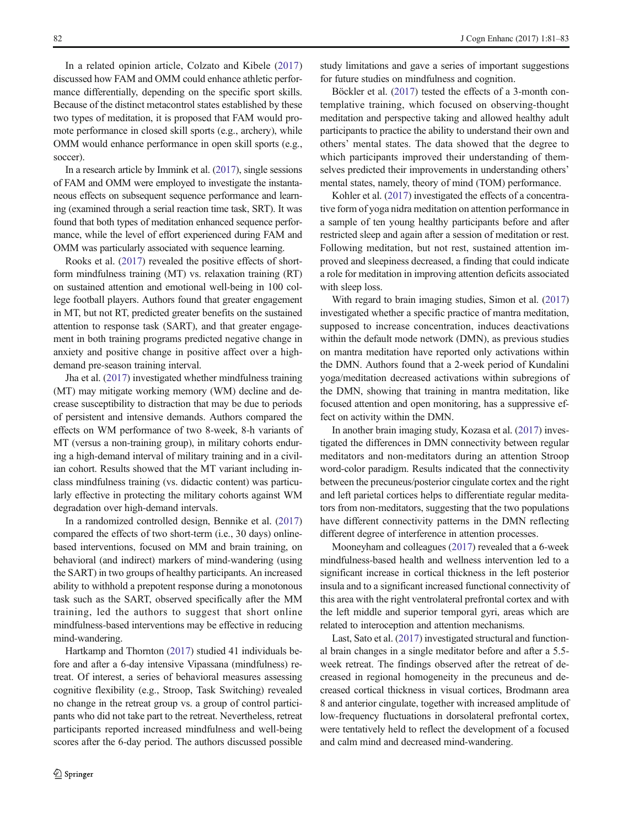In a related opinion article, Colzato and Kibele ([2017\)](#page-2-0) discussed how FAM and OMM could enhance athletic performance differentially, depending on the specific sport skills. Because of the distinct metacontrol states established by these two types of meditation, it is proposed that FAM would promote performance in closed skill sports (e.g., archery), while OMM would enhance performance in open skill sports (e.g., soccer).

In a research article by Immink et al. [\(2017\)](#page-2-0), single sessions of FAM and OMM were employed to investigate the instantaneous effects on subsequent sequence performance and learning (examined through a serial reaction time task, SRT). It was found that both types of meditation enhanced sequence performance, while the level of effort experienced during FAM and OMM was particularly associated with sequence learning.

Rooks et al. [\(2017\)](#page-2-0) revealed the positive effects of shortform mindfulness training (MT) vs. relaxation training (RT) on sustained attention and emotional well-being in 100 college football players. Authors found that greater engagement in MT, but not RT, predicted greater benefits on the sustained attention to response task (SART), and that greater engagement in both training programs predicted negative change in anxiety and positive change in positive affect over a highdemand pre-season training interval.

Jha et al. ([2017](#page-2-0)) investigated whether mindfulness training (MT) may mitigate working memory (WM) decline and decrease susceptibility to distraction that may be due to periods of persistent and intensive demands. Authors compared the effects on WM performance of two 8-week, 8-h variants of MT (versus a non-training group), in military cohorts enduring a high-demand interval of military training and in a civilian cohort. Results showed that the MT variant including inclass mindfulness training (vs. didactic content) was particularly effective in protecting the military cohorts against WM degradation over high-demand intervals.

In a randomized controlled design, Bennike et al. [\(2017\)](#page-2-0) compared the effects of two short-term (i.e., 30 days) onlinebased interventions, focused on MM and brain training, on behavioral (and indirect) markers of mind-wandering (using the SART) in two groups of healthy participants. An increased ability to withhold a prepotent response during a monotonous task such as the SART, observed specifically after the MM training, led the authors to suggest that short online mindfulness-based interventions may be effective in reducing mind-wandering.

Hartkamp and Thornton ([2017](#page-2-0)) studied 41 individuals before and after a 6-day intensive Vipassana (mindfulness) retreat. Of interest, a series of behavioral measures assessing cognitive flexibility (e.g., Stroop, Task Switching) revealed no change in the retreat group vs. a group of control participants who did not take part to the retreat. Nevertheless, retreat participants reported increased mindfulness and well-being scores after the 6-day period. The authors discussed possible study limitations and gave a series of important suggestions for future studies on mindfulness and cognition.

Böckler et al. [\(2017\)](#page-2-0) tested the effects of a 3-month contemplative training, which focused on observing-thought meditation and perspective taking and allowed healthy adult participants to practice the ability to understand their own and others' mental states. The data showed that the degree to which participants improved their understanding of themselves predicted their improvements in understanding others' mental states, namely, theory of mind (TOM) performance.

Kohler et al. ([2017](#page-2-0)) investigated the effects of a concentrative form of yoga nidra meditation on attention performance in a sample of ten young healthy participants before and after restricted sleep and again after a session of meditation or rest. Following meditation, but not rest, sustained attention improved and sleepiness decreased, a finding that could indicate a role for meditation in improving attention deficits associated with sleep loss.

With regard to brain imaging studies, Simon et al. [\(2017](#page-2-0)) investigated whether a specific practice of mantra meditation, supposed to increase concentration, induces deactivations within the default mode network (DMN), as previous studies on mantra meditation have reported only activations within the DMN. Authors found that a 2-week period of Kundalini yoga/meditation decreased activations within subregions of the DMN, showing that training in mantra meditation, like focused attention and open monitoring, has a suppressive effect on activity within the DMN.

In another brain imaging study, Kozasa et al. ([2017](#page-2-0)) investigated the differences in DMN connectivity between regular meditators and non-meditators during an attention Stroop word-color paradigm. Results indicated that the connectivity between the precuneus/posterior cingulate cortex and the right and left parietal cortices helps to differentiate regular meditators from non-meditators, suggesting that the two populations have different connectivity patterns in the DMN reflecting different degree of interference in attention processes.

Mooneyham and colleagues [\(2017\)](#page-2-0) revealed that a 6-week mindfulness-based health and wellness intervention led to a significant increase in cortical thickness in the left posterior insula and to a significant increased functional connectivity of this area with the right ventrolateral prefrontal cortex and with the left middle and superior temporal gyri, areas which are related to interoception and attention mechanisms.

Last, Sato et al. [\(2017\)](#page-2-0) investigated structural and functional brain changes in a single meditator before and after a 5.5 week retreat. The findings observed after the retreat of decreased in regional homogeneity in the precuneus and decreased cortical thickness in visual cortices, Brodmann area 8 and anterior cingulate, together with increased amplitude of low-frequency fluctuations in dorsolateral prefrontal cortex, were tentatively held to reflect the development of a focused and calm mind and decreased mind-wandering.